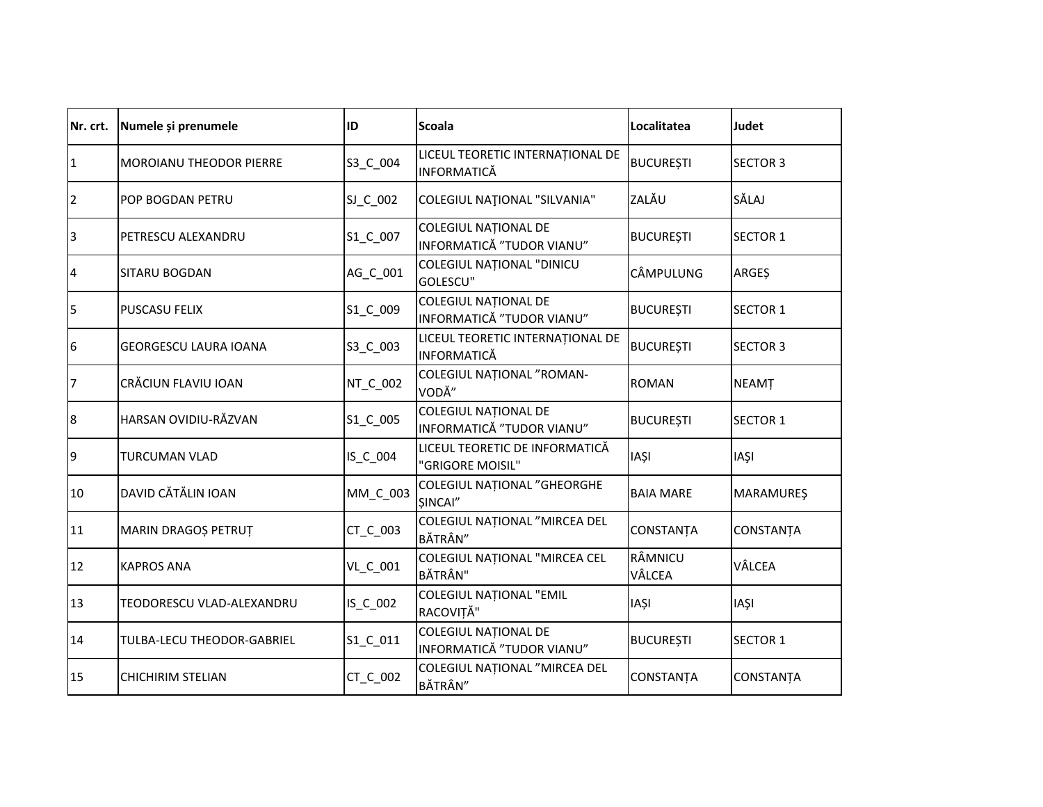| Nr. crt.       | Numele și prenumele            | ID       | <b>Scoala</b>                                            | Localitatea       | Judet            |
|----------------|--------------------------------|----------|----------------------------------------------------------|-------------------|------------------|
| 1              | <b>MOROIANU THEODOR PIERRE</b> | S3_C_004 | LICEUL TEORETIC INTERNAȚIONAL DE<br><b>INFORMATICĂ</b>   | <b>BUCUREȘTI</b>  | <b>SECTOR 3</b>  |
| $\overline{2}$ | <b>POP BOGDAN PETRU</b>        | SJ_C_002 | COLEGIUL NAȚIONAL "SILVANIA"                             | ZALĂU             | SĂLAJ            |
| 3              | PETRESCU ALEXANDRU             | S1_C_007 | <b>COLEGIUL NATIONAL DE</b><br>INFORMATICĂ "TUDOR VIANU" | <b>BUCUREȘTI</b>  | <b>SECTOR 1</b>  |
| 4              | <b>SITARU BOGDAN</b>           | AG_C_001 | COLEGIUL NAȚIONAL "DINICU<br>GOLESCU"                    | CÂMPULUNG         | <b>ARGES</b>     |
| 5              | <b>PUSCASU FELIX</b>           | S1_C_009 | COLEGIUL NAȚIONAL DE<br>INFORMATICĂ "TUDOR VIANU"        | <b>BUCUREȘTI</b>  | <b>SECTOR 1</b>  |
| 6              | <b>GEORGESCU LAURA IOANA</b>   | S3_C_003 | LICEUL TEORETIC INTERNAȚIONAL DE<br><b>INFORMATICĂ</b>   | <b>BUCUREȘTI</b>  | <b>SECTOR 3</b>  |
| 17             | CRĂCIUN FLAVIU IOAN            | NT_C_002 | COLEGIUL NAȚIONAL "ROMAN-<br>VODĂ"                       | <b>ROMAN</b>      | <b>NEAMT</b>     |
| 8              | HARSAN OVIDIU-RĂZVAN           | S1_C_005 | <b>COLEGIUL NATIONAL DE</b><br>INFORMATICĂ "TUDOR VIANU" | <b>BUCUREȘTI</b>  | <b>SECTOR 1</b>  |
| 9              | <b>TURCUMAN VLAD</b>           | IS_C_004 | LICEUL TEORETIC DE INFORMATICĂ<br>"GRIGORE MOISIL"       | <b>IAȘI</b>       | <b>IASI</b>      |
| 10             | DAVID CĂTĂLIN IOAN             | MM_C_003 | <b>COLEGIUL NATIONAL "GHEORGHE</b><br>SINCAI"            | <b>BAIA MARE</b>  | <b>MARAMUREŞ</b> |
| 11             | MARIN DRAGOȘ PETRUȚ            | CT_C_003 | COLEGIUL NAȚIONAL "MIRCEA DEL<br>BĂTRÂN"                 | CONSTANTA         | CONSTANȚA        |
| 12             | <b>KAPROS ANA</b>              | VL_C_001 | COLEGIUL NAȚIONAL "MIRCEA CEL<br><b>BĂTRÂN"</b>          | RÂMNICU<br>VÂLCEA | VÂLCEA           |
| 13             | TEODORESCU VLAD-ALEXANDRU      | IS_C_002 | <b>COLEGIUL NATIONAL "EMIL</b><br>RACOVIȚĂ"              | <b>IASI</b>       | <b>IASI</b>      |
| 14             | TULBA-LECU THEODOR-GABRIEL     | S1_C_011 | <b>COLEGIUL NATIONAL DE</b><br>INFORMATICĂ "TUDOR VIANU" | <b>BUCURESTI</b>  | <b>SECTOR 1</b>  |
| 15             | <b>CHICHIRIM STELIAN</b>       | CT_C_002 | COLEGIUL NAȚIONAL "MIRCEA DEL<br>BĂTRÂN"                 | <b>CONSTANTA</b>  | <b>CONSTANTA</b> |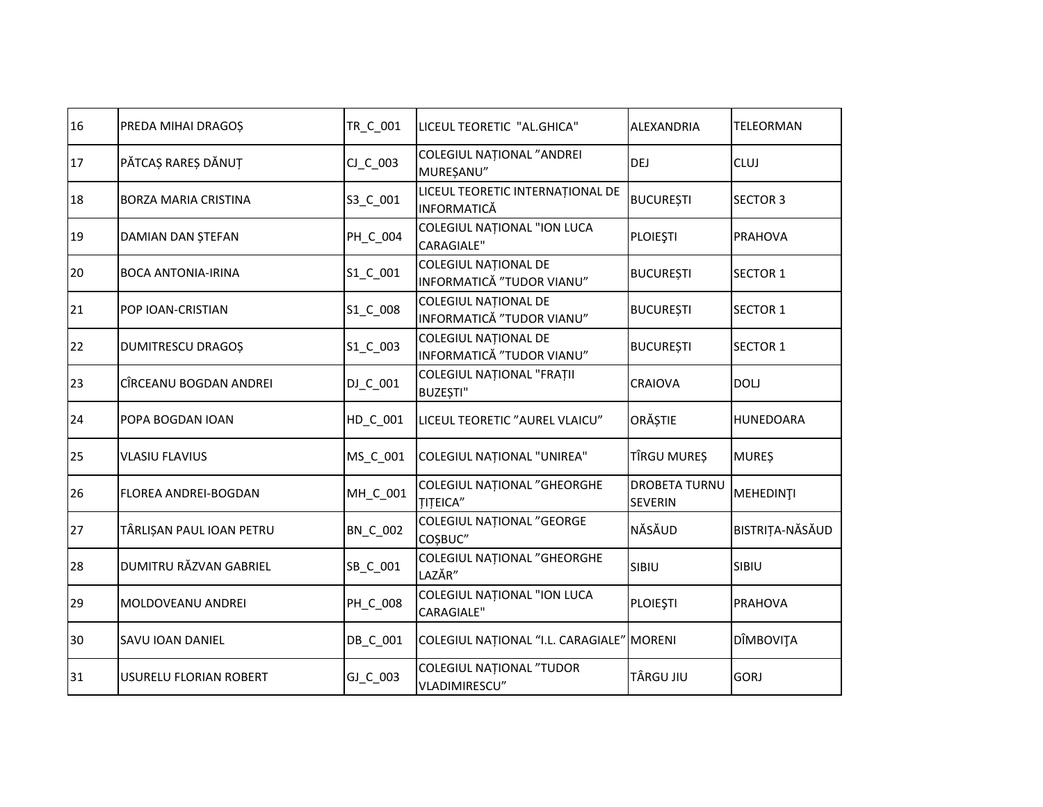| 16 | PREDA MIHAI DRAGOȘ          | TR_C_001   | LICEUL TEORETIC "AL.GHICA"                            | ALEXANDRIA                             | TELEORMAN       |
|----|-----------------------------|------------|-------------------------------------------------------|----------------------------------------|-----------------|
| 17 | PĂTCAȘ RAREȘ DĂNUȚ          | $CJ_C_003$ | COLEGIUL NAȚIONAL "ANDREI<br>MUREȘANU"                | DEJ                                    | <b>CLUJ</b>     |
| 18 | <b>BORZA MARIA CRISTINA</b> | S3_C_001   | LICEUL TEORETIC INTERNAȚIONAL DE<br>INFORMATICĂ       | <b>BUCURESTI</b>                       | <b>SECTOR 3</b> |
| 19 | DAMIAN DAN ȘTEFAN           | PH_C_004   | COLEGIUL NAȚIONAL "ION LUCA<br><b>CARAGIALE"</b>      | <b>PLOIEȘTI</b>                        | <b>PRAHOVA</b>  |
| 20 | <b>BOCA ANTONIA-IRINA</b>   | S1_C_001   | COLEGIUL NAȚIONAL DE<br>INFORMATICĂ "TUDOR VIANU"     | <b>BUCUREȘTI</b>                       | <b>SECTOR 1</b> |
| 21 | <b>POP IOAN-CRISTIAN</b>    | S1_C_008   | COLEGIUL NAȚIONAL DE<br>INFORMATICĂ "TUDOR VIANU"     | <b>BUCUREȘTI</b>                       | <b>SECTOR 1</b> |
| 22 | <b>DUMITRESCU DRAGOȘ</b>    | S1_C_003   | COLEGIUL NAȚIONAL DE<br>INFORMATICĂ "TUDOR VIANU"     | <b>BUCUREȘTI</b>                       | <b>SECTOR 1</b> |
| 23 | CÎRCEANU BOGDAN ANDREI      | DJ_C_001   | COLEGIUL NAȚIONAL "FRAȚII<br>BUZEȘTI"                 | <b>CRAIOVA</b>                         | <b>DOLJ</b>     |
| 24 | POPA BOGDAN IOAN            | HD C 001   | LICEUL TEORETIC "AUREL VLAICU"                        | ORĂȘTIE                                | HUNEDOARA       |
| 25 | <b>VLASIU FLAVIUS</b>       | MS_C_001   | <b>COLEGIUL NATIONAL "UNIREA"</b>                     | TÎRGU MUREȘ                            | <b>MUREŞ</b>    |
| 26 | <b>FLOREA ANDREI-BOGDAN</b> | MH_C_001   | <b>COLEGIUL NATIONAL "GHEORGHE</b><br><b>TITEICA"</b> | <b>DROBETA TURNU</b><br><b>SEVERIN</b> | MEHEDINȚI       |
| 27 | TÂRLIȘAN PAUL IOAN PETRU    | BN_C_002   | COLEGIUL NAȚIONAL "GEORGE<br>COŞBUC"                  | NĂSĂUD                                 | BISTRIȚA-NĂSĂUD |
| 28 | DUMITRU RĂZVAN GABRIEL      | SB_C_001   | <b>COLEGIUL NATIONAL "GHEORGHE</b><br>LAZĂR"          | SIBIU                                  | SIBIU           |
| 29 | MOLDOVEANU ANDREI           | PH_C_008   | COLEGIUL NAȚIONAL "ION LUCA<br><b>CARAGIALE"</b>      | <b>PLOIEȘTI</b>                        | <b>PRAHOVA</b>  |
| 30 | <b>SAVU IOAN DANIEL</b>     | DB_C_001   | COLEGIUL NAȚIONAL "I.L. CARAGIALE" MORENI             |                                        | DÎMBOVIȚA       |
| 31 | USURELU FLORIAN ROBERT      | GJ_C_003   | COLEGIUL NAȚIONAL "TUDOR<br>VLADIMIRESCU"             | <b>TÂRGU JIU</b>                       | <b>GORJ</b>     |